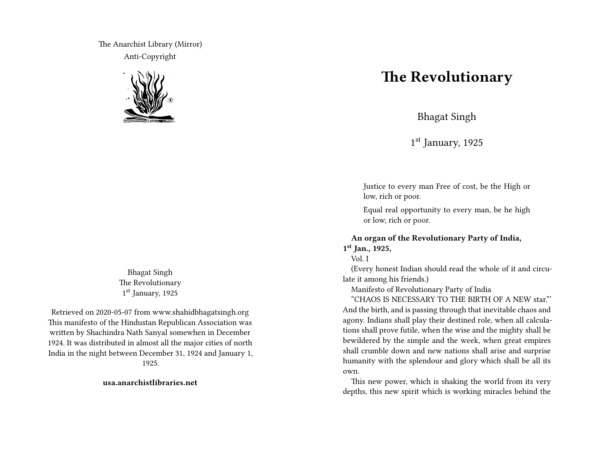The Anarchist Library (Mirror) Anti-Copyright



Bhagat Singh The Revolutionary 1 st January, 1925

Retrieved on 2020-05-07 from www.shahidbhagatsingh.org This manifesto of the Hindustan Republican Association was written by Shachindra Nath Sanyal somewhen in December 1924. It was distributed in almost all the major cities of north India in the night between December 31, 1924 and January 1, 1925.

**usa.anarchistlibraries.net**

## **The Revolutionary**

Bhagat Singh

1 st January, 1925

Justice to every man Free of cost, be the High or low, rich or poor.

Equal real opportunity to every man, be he high or low, rich or poor.

## **An organ of the Revolutionary Party of India, 1 st Jan., 1925,**

Vol. I

(Every honest Indian should read the whole of it and circulate it among his friends.)

Manifesto of Revolutionary Party of India

"CHAOS IS NECESSARY TO THE BIRTH OF A NEW star."' And the birth, and is passing through that inevitable chaos and agony. Indians shall play their destined role, when all calculations shall prove futile, when the wise and the mighty shall be bewildered by the simple and the week, when great empires shall crumble down and new nations shall arise and surprise humanity with the splendour and glory which shall be all its own.

This new power, which is shaking the world from its very depths, this new spirit which is working miracles behind the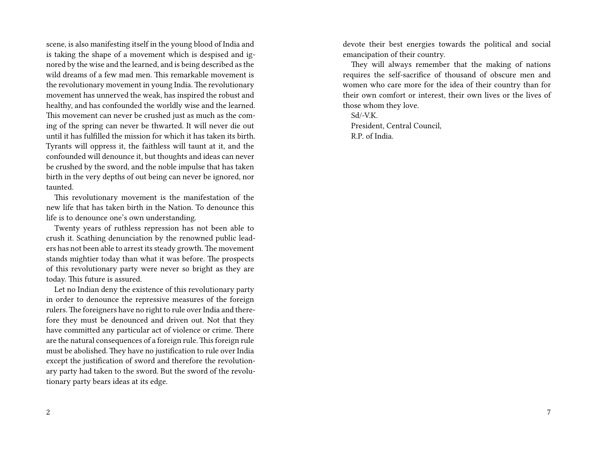scene, is also manifesting itself in the young blood of India and is taking the shape of a movement which is despised and ignored by the wise and the learned, and is being described as the wild dreams of a few mad men. This remarkable movement is the revolutionary movement in young India. The revolutionary movement has unnerved the weak, has inspired the robust and healthy, and has confounded the worldly wise and the learned. This movement can never be crushed just as much as the coming of the spring can never be thwarted. It will never die out until it has fulfilled the mission for which it has taken its birth. Tyrants will oppress it, the faithless will taunt at it, and the confounded will denounce it, but thoughts and ideas can never be crushed by the sword, and the noble impulse that has taken birth in the very depths of out being can never be ignored, nor taunted.

This revolutionary movement is the manifestation of the new life that has taken birth in the Nation. To denounce this life is to denounce one's own understanding.

Twenty years of ruthless repression has not been able to crush it. Scathing denunciation by the renowned public leaders has not been able to arrest its steady growth. The movement stands mightier today than what it was before. The prospects of this revolutionary party were never so bright as they are today. This future is assured.

Let no Indian deny the existence of this revolutionary party in order to denounce the repressive measures of the foreign rulers. The foreigners have no right to rule over India and therefore they must be denounced and driven out. Not that they have committed any particular act of violence or crime. There are the natural consequences of a foreign rule. This foreign rule must be abolished. They have no justification to rule over India except the justification of sword and therefore the revolutionary party had taken to the sword. But the sword of the revolutionary party bears ideas at its edge.

devote their best energies towards the political and social emancipation of their country.

They will always remember that the making of nations requires the self-sacrifice of thousand of obscure men and women who care more for the idea of their country than for their own comfort or interest, their own lives or the lives of those whom they love.

Sd/-V.K. President, Central Council, R.P. of India.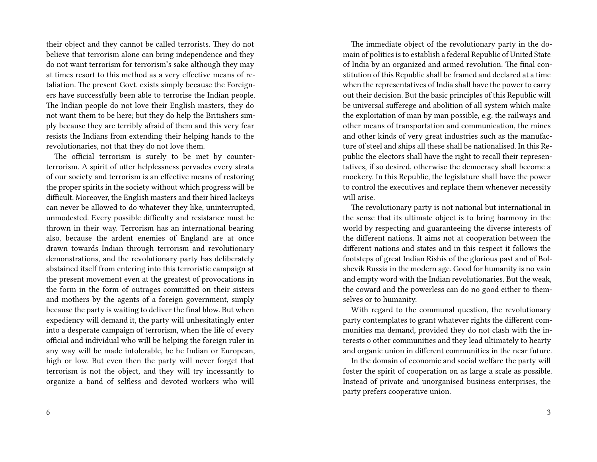their object and they cannot be called terrorists. They do not believe that terrorism alone can bring independence and they do not want terrorism for terrorism's sake although they may at times resort to this method as a very effective means of retaliation. The present Govt. exists simply because the Foreigners have successfully been able to terrorise the Indian people. The Indian people do not love their English masters, they do not want them to be here; but they do help the Britishers simply because they are terribly afraid of them and this very fear resists the Indians from extending their helping hands to the revolutionaries, not that they do not love them.

The official terrorism is surely to be met by counterterrorism. A spirit of utter helplessness pervades every strata of our society and terrorism is an effective means of restoring the proper spirits in the society without which progress will be difficult. Moreover, the English masters and their hired lackeys can never be allowed to do whatever they like, uninterrupted, unmodested. Every possible difficulty and resistance must be thrown in their way. Terrorism has an international bearing also, because the ardent enemies of England are at once drawn towards Indian through terrorism and revolutionary demonstrations, and the revolutionary party has deliberately abstained itself from entering into this terroristic campaign at the present movement even at the greatest of provocations in the form in the form of outrages committed on their sisters and mothers by the agents of a foreign government, simply because the party is waiting to deliver the final blow. But when expediency will demand it, the party will unhesitatingly enter into a desperate campaign of terrorism, when the life of every official and individual who will be helping the foreign ruler in any way will be made intolerable, be he Indian or European, high or low. But even then the party will never forget that terrorism is not the object, and they will try incessantly to organize a band of selfless and devoted workers who will

The immediate object of the revolutionary party in the domain of politics is to establish a federal Republic of United State of India by an organized and armed revolution. The final constitution of this Republic shall be framed and declared at a time when the representatives of India shall have the power to carry out their decision. But the basic principles of this Republic will be universal sufferege and abolition of all system which make the exploitation of man by man possible, e.g. the railways and other means of transportation and communication, the mines and other kinds of very great industries such as the manufacture of steel and ships all these shall be nationalised. In this Republic the electors shall have the right to recall their representatives, if so desired, otherwise the democracy shall become a mockery. In this Republic, the legislature shall have the power to control the executives and replace them whenever necessity will arise.

The revolutionary party is not national but international in the sense that its ultimate object is to bring harmony in the world by respecting and guaranteeing the diverse interests of the different nations. It aims not at cooperation between the different nations and states and in this respect it follows the footsteps of great Indian Rishis of the glorious past and of Bolshevik Russia in the modern age. Good for humanity is no vain and empty word with the Indian revolutionaries. But the weak, the coward and the powerless can do no good either to themselves or to humanity.

With regard to the communal question, the revolutionary party contemplates to grant whatever rights the different communities ma demand, provided they do not clash with the interests o other communities and they lead ultimately to hearty and organic union in different communities in the near future.

In the domain of economic and social welfare the party will foster the spirit of cooperation on as large a scale as possible. Instead of private and unorganised business enterprises, the party prefers cooperative union.